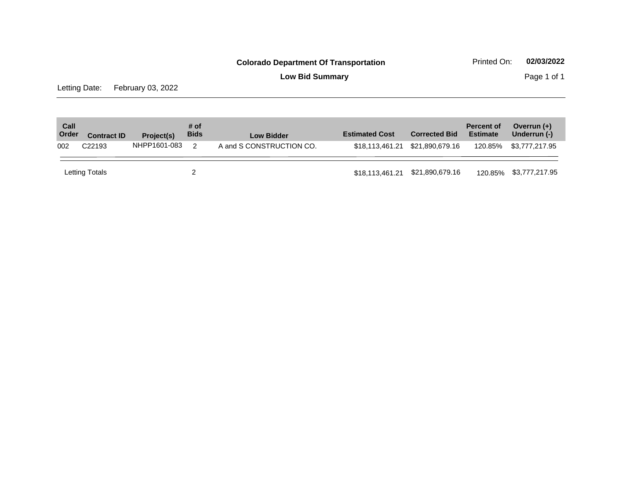**Low Bid Summary Page 1 of 1** 

Letting Date: February 03, 2022

| Call<br>Order | <b>Contract ID</b> | Project(s)   | # of<br><b>Bids</b> | Low Bidder               | <b>Estimated Cost</b> | <b>Corrected Bid</b> | <b>Percent of</b><br><b>Estimate</b> | Overrun $(+)$<br>Underrun (-) |
|---------------|--------------------|--------------|---------------------|--------------------------|-----------------------|----------------------|--------------------------------------|-------------------------------|
| 002           | C <sub>22193</sub> | NHPP1601-083 | $\mathcal{P}$       | A and S CONSTRUCTION CO. | \$18.113.461.21       | \$21,890,679.16      | 120.85%                              | \$3,777,217.95                |
|               | Letting Totals     |              |                     |                          | \$18,113,461.21       | \$21,890,679.16      | 120.85%                              | \$3,777,217.95                |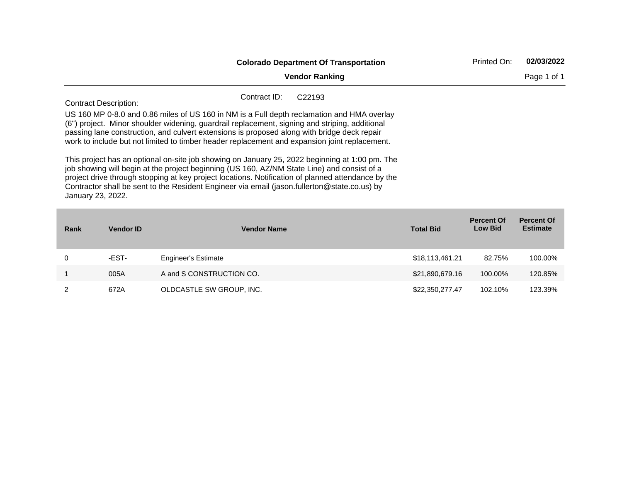|      |                                                                                                                                                                                                                                                                                                                                                                                                                                                                                                                                                                                                                                                                                                                                                                                                                                                                                                | <b>Colorado Department Of Transportation</b> |                  | Printed On:                         | 02/03/2022                           |  |  |  |  |
|------|------------------------------------------------------------------------------------------------------------------------------------------------------------------------------------------------------------------------------------------------------------------------------------------------------------------------------------------------------------------------------------------------------------------------------------------------------------------------------------------------------------------------------------------------------------------------------------------------------------------------------------------------------------------------------------------------------------------------------------------------------------------------------------------------------------------------------------------------------------------------------------------------|----------------------------------------------|------------------|-------------------------------------|--------------------------------------|--|--|--|--|
|      | <b>Vendor Ranking</b>                                                                                                                                                                                                                                                                                                                                                                                                                                                                                                                                                                                                                                                                                                                                                                                                                                                                          |                                              |                  |                                     |                                      |  |  |  |  |
|      | Contract ID:<br>C <sub>22193</sub><br><b>Contract Description:</b><br>US 160 MP 0-8.0 and 0.86 miles of US 160 in NM is a Full depth reclamation and HMA overlay<br>(6") project. Minor shoulder widening, guardrail replacement, signing and striping, additional<br>passing lane construction, and culvert extensions is proposed along with bridge deck repair<br>work to include but not limited to timber header replacement and expansion joint replacement.<br>This project has an optional on-site job showing on January 25, 2022 beginning at 1:00 pm. The<br>job showing will begin at the project beginning (US 160, AZ/NM State Line) and consist of a<br>project drive through stopping at key project locations. Notification of planned attendance by the<br>Contractor shall be sent to the Resident Engineer via email (jason.fullerton@state.co.us) by<br>January 23, 2022. |                                              |                  |                                     |                                      |  |  |  |  |
| Rank | <b>Vendor ID</b>                                                                                                                                                                                                                                                                                                                                                                                                                                                                                                                                                                                                                                                                                                                                                                                                                                                                               | <b>Vendor Name</b>                           | <b>Total Bid</b> | <b>Percent Of</b><br><b>Low Bid</b> | <b>Percent Of</b><br><b>Estimate</b> |  |  |  |  |
| 0    | -EST-                                                                                                                                                                                                                                                                                                                                                                                                                                                                                                                                                                                                                                                                                                                                                                                                                                                                                          | <b>Engineer's Estimate</b>                   | \$18,113,461.21  | 82.75%                              | 100.00%                              |  |  |  |  |
| 1    | 005A                                                                                                                                                                                                                                                                                                                                                                                                                                                                                                                                                                                                                                                                                                                                                                                                                                                                                           | A and S CONSTRUCTION CO.                     | \$21,890,679.16  | 100.00%                             | 120.85%                              |  |  |  |  |

2 672A OLDCASTLE SW GROUP, INC. 622 622,350,277.47 102.10% 123.39%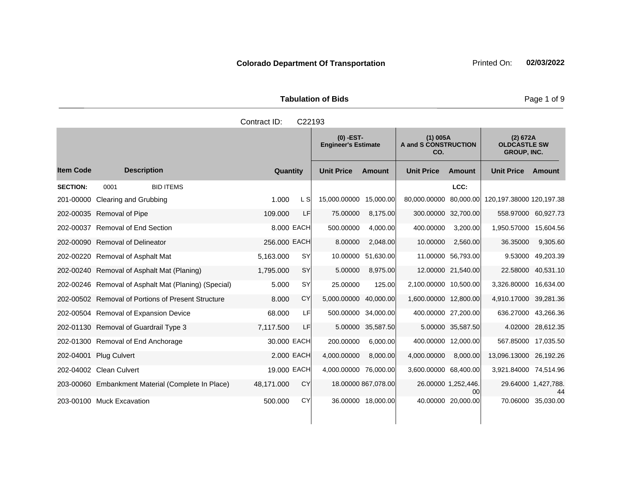| <b>Tabulation of Bids</b> |                     |  |  |  |  |  |  |  |
|---------------------------|---------------------|--|--|--|--|--|--|--|
|                           | Contract ID: C22193 |  |  |  |  |  |  |  |

|                  |                                                      |              |            | $(0)$ -EST-<br><b>Engineer's Estimate</b> |                     | $(1)$ 005A<br><b>A and S CONSTRUCTION</b><br>CO. |                           | (2) 672A<br><b>OLDCASTLE SW</b><br><b>GROUP, INC.</b> |                           |
|------------------|------------------------------------------------------|--------------|------------|-------------------------------------------|---------------------|--------------------------------------------------|---------------------------|-------------------------------------------------------|---------------------------|
| <b>Item Code</b> | <b>Description</b>                                   | Quantity     |            | <b>Unit Price</b>                         | <b>Amount</b>       | <b>Unit Price</b>                                | <b>Amount</b>             | <b>Unit Price</b>                                     | Amount                    |
| <b>SECTION:</b>  | <b>BID ITEMS</b><br>0001                             |              |            |                                           |                     |                                                  | LCC:                      |                                                       |                           |
| 201-00000        | <b>Clearing and Grubbing</b>                         | 1.000        | L Sl       | 15,000.00000                              | 15.000.00           | 80,000.00000 80,000.00                           |                           | 120,197.38000 120,197.38                              |                           |
|                  | 202-00035 Removal of Pipe                            | 109.000      | LF         | 75.00000                                  | 8,175.00            |                                                  | 300.00000 32,700.00       |                                                       | 558.97000 60,927.73       |
|                  | 202-00037 Removal of End Section                     |              | 8,000 EACH | 500.00000                                 | 4,000.00            | 400.00000                                        | 3,200.00                  | 1,950.57000 15,604.56                                 |                           |
|                  | 202-00090 Removal of Delineator                      | 256,000 EACH |            | 8.00000                                   | 2,048.00            | 10.00000                                         | 2,560.00                  | 36.35000                                              | 9,305.60                  |
| 202-00220        | <b>Removal of Asphalt Mat</b>                        | 5,163.000    | <b>SY</b>  | 10.00000                                  | 51.630.00           |                                                  | 11.00000 56,793.00        | 9.53000                                               | 49,203.39                 |
|                  | 202-00240 Removal of Asphalt Mat (Planing)           | 1,795.000    | <b>SY</b>  | 5.00000                                   | 8,975.00            |                                                  | 12.00000 21,540.00        | 22.58000                                              | 40,531.10                 |
|                  | 202-00246 Removal of Asphalt Mat (Planing) (Special) | 5.000        | <b>SY</b>  | 25.00000                                  | 125.00              | 2,100.00000 10,500.00                            |                           | 3,326.80000 16,634.00                                 |                           |
|                  | 202-00502 Removal of Portions of Present Structure   | 8.000        | CY         | 5,000.00000                               | 40.000.00           | 1,600.00000 12,800.00                            |                           | 4,910.17000 39,281.36                                 |                           |
|                  | 202-00504 Removal of Expansion Device                | 68,000       | LFI        |                                           | 500.00000 34,000.00 | 400.00000 27,200.00                              |                           |                                                       | 636.27000 43,266.36       |
|                  | 202-01130 Removal of Guardrail Type 3                | 7,117.500    | LF.        |                                           | 5.00000 35,587.50   |                                                  | 5.00000 35,587.50         |                                                       | 4.02000 28,612.35         |
|                  | 202-01300 Removal of End Anchorage                   | 30,000 EACH  |            | 200.00000                                 | 6,000.00            |                                                  | 400.00000 12,000.00       |                                                       | 567.85000 17,035.50       |
| 202-04001        | <b>Plug Culvert</b>                                  | 2,000 EACH   |            | 4,000.00000                               | 8,000.00            | 4,000.00000                                      | 8,000.00                  | 13,096.13000 26,192.26                                |                           |
|                  | 202-04002 Clean Culvert                              | 19.000 EACH  |            | 4,000.00000 76,000.00                     |                     | 3,600.00000 68,400.00                            |                           | 3,921.84000 74,514.96                                 |                           |
|                  | 203-00060 Embankment Material (Complete In Place)    | 48,171.000   | CY         |                                           | 18.00000 867,078.00 |                                                  | 26.00000 1,252,446.<br>00 |                                                       | 29.64000 1,427,788.<br>44 |
|                  | 203-00100 Muck Excavation                            | 500.000      | CY         |                                           | 36.00000 18,000.00  |                                                  | 40.00000 20,000.00        |                                                       | 70.06000 35,030.00        |

Page 1 of 9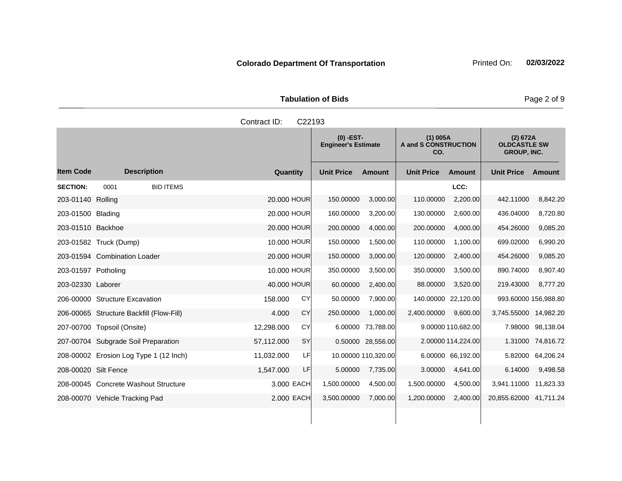| <b>Tabulation of Bids</b> |                     |  |  |  |  |  |  |  |  |  |
|---------------------------|---------------------|--|--|--|--|--|--|--|--|--|
|                           | Contract ID: C22193 |  |  |  |  |  |  |  |  |  |
|                           |                     |  |  |  |  |  |  |  |  |  |

|                      |                                          |                         | $(0)$ -EST-<br><b>Engineer's Estimate</b> |                     | $(1)$ 005A<br>A and S CONSTRUCTION<br>CO. |                    | (2) 672A<br><b>OLDCASTLE SW</b><br><b>GROUP, INC.</b> |                   |
|----------------------|------------------------------------------|-------------------------|-------------------------------------------|---------------------|-------------------------------------------|--------------------|-------------------------------------------------------|-------------------|
| <b>Item Code</b>     | <b>Description</b>                       | Quantity                | <b>Unit Price</b>                         | <b>Amount</b>       | <b>Unit Price</b>                         | <b>Amount</b>      | <b>Unit Price</b>                                     | Amount            |
| <b>SECTION:</b>      | 0001<br><b>BID ITEMS</b>                 |                         |                                           |                     |                                           | LCC:               |                                                       |                   |
| 203-01140 Rolling    |                                          | 20.000 HOUR             | 150.00000                                 | 3,000.00            | 110.00000                                 | 2,200.00           | 442.11000                                             | 8,842.20          |
| 203-01500 Blading    |                                          | 20,000 HOUR             | 160.00000                                 | 3,200.00            | 130.00000                                 | 2,600.00           | 436.04000                                             | 8,720.80          |
| 203-01510 Backhoe    |                                          | 20,000 HOUR             | 200.00000                                 | 4,000.00            | 200.00000                                 | 4,000.00           | 454.26000                                             | 9,085.20          |
|                      | 203-01582 Truck (Dump)                   | 10.000 HOUR             | 150.00000                                 | 1,500.00            | 110.00000                                 | 1,100.00           | 699.02000                                             | 6,990.20          |
|                      | 203-01594 Combination Loader             | 20.000 HOUR             | 150.00000                                 | 3,000.00            | 120.00000                                 | 2,400.00           | 454.26000                                             | 9,085.20          |
| 203-01597 Potholing  |                                          | 10.000 HOUR             | 350.00000                                 | 3,500.00            | 350.00000                                 | 3,500.00           | 890.74000                                             | 8,907.40          |
| 203-02330 Laborer    |                                          | 40.000 HOUR             | 60.00000                                  | 2,400.00            | 88.00000                                  | 3,520.00           | 219.43000                                             | 8,777.20          |
|                      | 206-00000 Structure Excavation           | CY<br>158.000           | 50.00000                                  | 7,900.00            | 140.00000                                 | 22,120.00          | 993.60000 156,988.80                                  |                   |
|                      | 206-00065 Structure Backfill (Flow-Fill) | CY<br>4.000             | 250.00000                                 | 1,000.00            | 2,400.00000                               | 9,600.00           | 3,745.55000 14,982.20                                 |                   |
|                      | 207-00700 Topsoil (Onsite)               | CY<br>12,298.000        | 6.00000                                   | 73,788.00           |                                           | 9.00000 110,682.00 |                                                       | 7.98000 98,138.04 |
|                      | 207-00704 Subgrade Soil Preparation      | <b>SY</b><br>57,112.000 |                                           | 0.50000 28,556.00   |                                           | 2.00000 114,224.00 |                                                       | 1.31000 74,816.72 |
|                      | 208-00002 Erosion Log Type 1 (12 Inch)   | 11,032.000<br>LFI       |                                           | 10.00000 110,320.00 |                                           | 6.00000 66,192.00  |                                                       | 5.82000 64,206.24 |
| 208-00020 Silt Fence |                                          | LF.<br>1,547.000        | 5.00000                                   | 7,735.00            | 3.00000                                   | 4,641.00           | 6.14000                                               | 9,498.58          |
|                      | 208-00045 Concrete Washout Structure     | 3.000 EACH              | 1,500.00000                               | 4,500.00            | 1,500.00000                               | 4,500.00           | 3.941.11000 11.823.33                                 |                   |
|                      | 208-00070 Vehicle Tracking Pad           | 2.000 EACH              | 3,500.00000                               | 7,000.00            | 1,200.00000                               | 2,400.00           | 20,855.62000 41,711.24                                |                   |
|                      |                                          |                         |                                           |                     |                                           |                    |                                                       |                   |

Page 2 of 9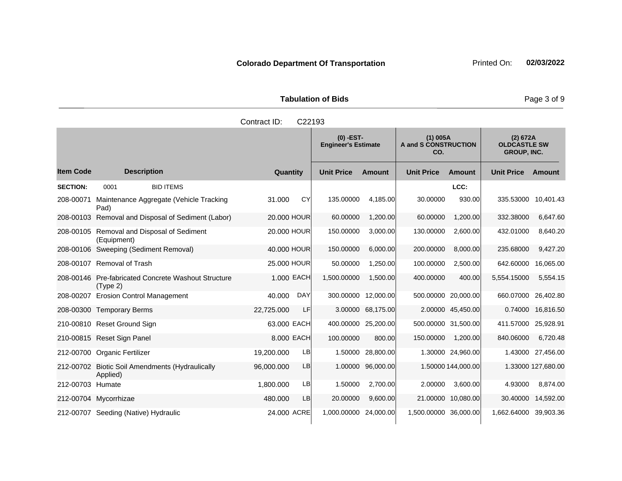|                  |                                                                 | Contract ID:<br>C22193  |                                           |                   |                                           |                     |                                                       |                    |
|------------------|-----------------------------------------------------------------|-------------------------|-------------------------------------------|-------------------|-------------------------------------------|---------------------|-------------------------------------------------------|--------------------|
|                  |                                                                 |                         | $(0)$ -EST-<br><b>Engineer's Estimate</b> |                   | $(1)$ 005A<br>A and S CONSTRUCTION<br>CO. |                     | (2) 672A<br><b>OLDCASTLE SW</b><br><b>GROUP, INC.</b> |                    |
| <b>Item Code</b> | <b>Description</b>                                              | Quantity                | <b>Unit Price</b>                         | <b>Amount</b>     | <b>Unit Price</b>                         | <b>Amount</b>       | <b>Unit Price</b>                                     | Amount             |
| <b>SECTION:</b>  | <b>BID ITEMS</b><br>0001                                        |                         |                                           |                   |                                           | LCC:                |                                                       |                    |
| 208-00071        | Maintenance Aggregate (Vehicle Tracking<br>Pad)                 | CY<br>31.000            | 135.00000                                 | 4.185.00          | 30.00000                                  | 930.00              | 335.53000                                             | 10,401.43          |
|                  | 208-00103 Removal and Disposal of Sediment (Labor)              | 20,000 HOUR             | 60.00000                                  | 1,200.00          | 60.00000                                  | 1,200.00            | 332.38000                                             | 6,647.60           |
|                  | 208-00105 Removal and Disposal of Sediment<br>(Equipment)       | 20,000 HOUR             | 150.00000                                 | 3,000.00          | 130.00000                                 | 2,600.00            | 432.01000                                             | 8,640.20           |
|                  | 208-00106 Sweeping (Sediment Removal)                           | 40,000 HOUR             | 150.00000                                 | 6,000.00          | 200.00000                                 | 8,000.00            | 235.68000                                             | 9,427.20           |
|                  | 208-00107 Removal of Trash                                      | 25.000 HOUR             | 50.00000                                  | 1,250.00          | 100.00000                                 | 2,500.00            | 642.60000                                             | 16,065.00          |
|                  | 208-00146 Pre-fabricated Concrete Washout Structure<br>(Type 2) | 1.000 EACH              | 1,500.00000                               | 1,500.00          | 400.00000                                 | 400.00              | 5,554.15000                                           | 5,554.15           |
| 208-00207        | <b>Erosion Control Management</b>                               | <b>DAY</b><br>40.000    | 300.00000                                 | 12,000.00         |                                           | 500.00000 20,000.00 | 660.07000                                             | 26,402.80          |
|                  | 208-00300 Temporary Berms                                       | 22,725.000<br>LF        | 3.00000                                   | 68,175.00         |                                           | 2.00000 45,450.00   | 0.74000                                               | 16,816.50          |
|                  | 210-00810 Reset Ground Sign                                     | 63.000 EACH             | 400.00000                                 | 25,200.00         |                                           | 500.00000 31,500.00 | 411.57000                                             | 25,928.91          |
|                  | 210-00815 Reset Sign Panel                                      | 8.000 EACH              | 100.00000                                 | 800.00            | 150.00000                                 | 1,200.00            | 840.06000                                             | 6,720.48           |
|                  | 212-00700 Organic Fertilizer                                    | <b>LB</b><br>19,200.000 |                                           | 1.50000 28,800.00 |                                           | 1.30000 24,960.00   |                                                       | 1.43000 27,456.00  |
|                  | 212-00702 Biotic Soil Amendments (Hydraulically<br>Applied)     | 96,000.000<br>LB        |                                           | 1.00000 96,000.00 |                                           | 1.50000 144,000.00  |                                                       | 1.33000 127,680.00 |
| 212-00703 Humate |                                                                 | <b>LB</b><br>1,800.000  | 1.50000                                   | 2,700.00          | 2.00000                                   | 3,600.00            | 4.93000                                               | 8,874.00           |
|                  | 212-00704 Mycorrhizae                                           | <b>LB</b><br>480.000    | 20.00000                                  | 9,600.00          |                                           | 21.00000 10,080.00  | 30.40000                                              | 14,592.00          |
|                  | 212-00707 Seeding (Native) Hydraulic                            | 24,000 ACRE             | 1,000.00000 24,000.00                     |                   | 1,500.00000 36,000.00                     |                     | 1.662.64000 39.903.36                                 |                    |

#### **Tabulation of Bids Page 3 of 9**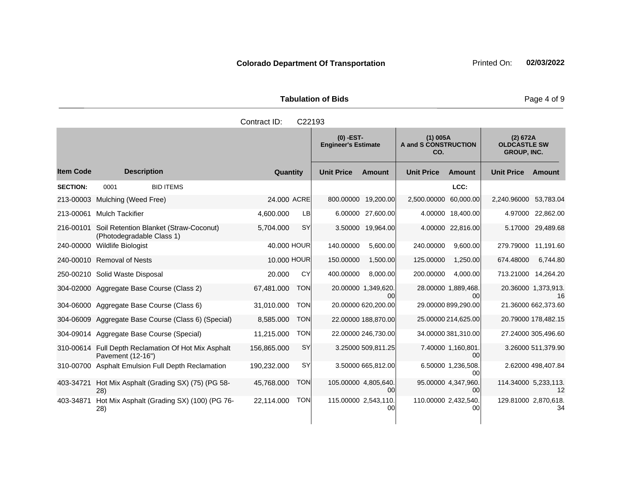|                 | Contract ID:<br>C <sub>22193</sub> |                                                  |             |    |                                           |                     |                                           |                   |                   |      |                                                       |  |
|-----------------|------------------------------------|--------------------------------------------------|-------------|----|-------------------------------------------|---------------------|-------------------------------------------|-------------------|-------------------|------|-------------------------------------------------------|--|
|                 |                                    |                                                  |             |    | $(0)$ -EST-<br><b>Engineer's Estimate</b> |                     | $(1)$ 005A<br>A and S CONSTRUCTION<br>CO. |                   |                   |      | (2) 672A<br><b>OLDCASTLE SW</b><br><b>GROUP, INC.</b> |  |
| ltem Code       | <b>Description</b>                 |                                                  | Quantity    |    | <b>Unit Price</b>                         | <b>Amount</b>       | <b>Unit Price</b>                         | <b>Amount</b>     | <b>Unit Price</b> | Amo  |                                                       |  |
| <b>SECTION:</b> | 0001                               | <b>BID ITEMS</b>                                 |             |    |                                           |                     |                                           | LCC:              |                   |      |                                                       |  |
|                 | 213-00003 Mulching (Weed Free)     |                                                  | 24,000 ACRE |    |                                           | 800.00000 19,200.00 | 2.500.00000                               | 60,000.00         | 2,240.96000       | 53.7 |                                                       |  |
| 213-00061       | Mulch Tackifier                    |                                                  | 4.600.000   | LB |                                           | 6.00000 27,600.00   |                                           | 4.00000 18,400.00 | 4.97000           | 22,8 |                                                       |  |
|                 |                                    | 216-00101 Soil Retention Blanket (Straw-Coconut) | 5.704.000   | SY |                                           | 3.50000 19,964.00   |                                           | 4.00000 22,816.00 | 5.17000 29,4      |      |                                                       |  |

# **Tabulation of Bids Page 4 of 9**

**Ext**

| <b>Item Code</b> | <b>Description</b>                                                       | Quantity    |            | <b>Unit Price</b> | <b>Amount</b>              | <b>Unit Price</b>    | <b>Amount</b>             | <b>Unit Price</b>    | <b>Amount</b>             |
|------------------|--------------------------------------------------------------------------|-------------|------------|-------------------|----------------------------|----------------------|---------------------------|----------------------|---------------------------|
| <b>SECTION:</b>  | 0001<br><b>BID ITEMS</b>                                                 |             |            |                   |                            |                      | LCC:                      |                      |                           |
| 213-00003        | Mulching (Weed Free)                                                     | 24.000 ACRE |            | 800.00000         | 19,200.00                  | 2,500.00000          | 60,000.00                 | 2,240.96000          | 53,783.04                 |
| 213-00061        | <b>Mulch Tackifier</b>                                                   | 4,600.000   | LB         |                   | 6.00000 27,600.00          |                      | 4.00000 18,400.00         | 4.97000              | 22,862.00                 |
| 216-00101        | Soil Retention Blanket (Straw-Coconut)<br>(Photodegradable Class 1)      | 5,704.000   | <b>SY</b>  | 3.50000           | 19,964.00                  |                      | 4.00000 22,816.00         | 5.17000              | 29,489.68                 |
| 240-00000        | <b>Wildlife Biologist</b>                                                | 40.000 HOUR |            | 140.00000         | 5,600.00                   | 240.00000            | 9,600.00                  | 279.79000            | 11,191.60                 |
|                  | 240-00010 Removal of Nests                                               | 10.000 HOUR |            | 150.00000         | 1,500.00                   | 125.00000            | 1,250.00                  | 674.48000            | 6,744.80                  |
|                  | 250-00210 Solid Waste Disposal                                           | 20,000      | CY         | 400.00000         | 8,000.00                   | 200.00000            | 4,000.00                  | 713.21000            | 14,264.20                 |
|                  | 304-02000 Aggregate Base Course (Class 2)                                | 67,481.000  | <b>TON</b> |                   | 20.00000 1,349,620.<br>00  |                      | 28.00000 1,889,468.<br>00 |                      | 20.36000 1,373,913.<br>16 |
|                  | 304-06000 Aggregate Base Course (Class 6)                                | 31,010.000  | <b>TON</b> |                   | 20.00000 620,200.00        |                      | 29.00000 899,290.00       |                      | 21.36000 662,373.60       |
|                  | 304-06009 Aggregate Base Course (Class 6) (Special)                      | 8,585.000   | <b>TON</b> |                   | 22.00000 188,870.00        |                      | 25.00000 214,625.00       |                      | 20.79000 178,482.15       |
|                  | 304-09014 Aggregate Base Course (Special)                                | 11,215.000  | <b>TON</b> |                   | 22.00000 246,730.00        |                      | 34.00000 381,310.00       |                      | 27.24000 305,496.60       |
|                  | 310-00614 Full Depth Reclamation Of Hot Mix Asphalt<br>Pavement (12-16") | 156,865.000 | SY         |                   | 3.25000 509,811.25         |                      | 7.40000 1,160,801.<br>ΩO  |                      | 3.26000 511,379.90        |
| 310-00700        | <b>Asphalt Emulsion Full Depth Reclamation</b>                           | 190,232.000 | SY         |                   | 3.50000 665,812.00         |                      | 6.50000 1,236,508.<br>00  |                      | 2.62000 498,407.84        |
| 403-34721        | Hot Mix Asphalt (Grading SX) (75) (PG 58-<br>28)                         | 45,768.000  | <b>TON</b> |                   | 105.00000 4,805,640.<br>00 |                      | 95.00000 4,347,960.<br>00 | 114.34000 5,233,113. | 12                        |
| 403-34871        | Hot Mix Asphalt (Grading SX) (100) (PG 76-<br>28)                        | 22,114.000  | <b>TON</b> |                   | 115.00000 2,543,110.<br>00 | 110.00000 2,432,540. | 00                        | 129.81000 2,870,618. | 34                        |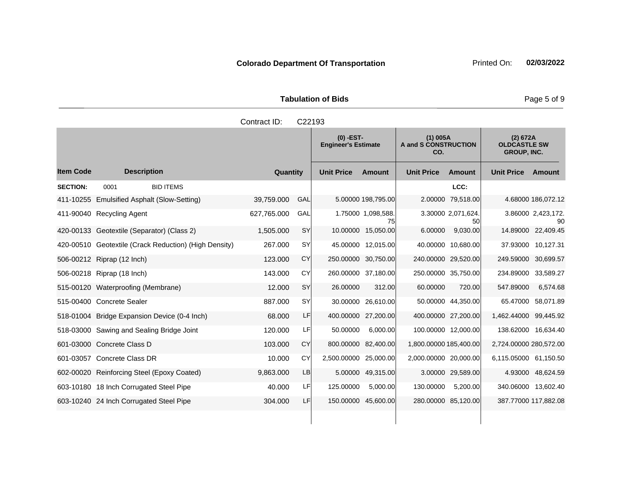|                       | <b>Tabulation of Bids</b> |
|-----------------------|---------------------------|
| Contract $ID: C22103$ |                           |

|                  |                                                       | oviniau i D. | <b>ULL 190</b> |                                           |                          |                                                  |                          |                                                       |                          |
|------------------|-------------------------------------------------------|--------------|----------------|-------------------------------------------|--------------------------|--------------------------------------------------|--------------------------|-------------------------------------------------------|--------------------------|
|                  |                                                       |              |                | $(0)$ -EST-<br><b>Engineer's Estimate</b> |                          | $(1)$ 005A<br><b>A and S CONSTRUCTION</b><br>CO. |                          | (2) 672A<br><b>OLDCASTLE SW</b><br><b>GROUP, INC.</b> |                          |
| <b>Item Code</b> | <b>Description</b>                                    | Quantity     |                | <b>Unit Price</b>                         | <b>Amount</b>            | <b>Unit Price</b>                                | <b>Amount</b>            | <b>Unit Price</b>                                     | Amount                   |
| <b>SECTION:</b>  | 0001<br><b>BID ITEMS</b>                              |              |                |                                           |                          |                                                  | LCC:                     |                                                       |                          |
| 411-10255        | Emulsified Asphalt (Slow-Setting)                     | 39,759.000   | GAL            |                                           | 5.00000 198,795.00       | 2.00000                                          | 79,518.00                |                                                       | 4.68000 186,072.12       |
| 411-90040        | Recycling Agent                                       | 627,765.000  | GAL            |                                           | 1.75000 1.098,588.<br>75 |                                                  | 3.30000 2,071,624.<br>50 |                                                       | 3.86000 2,423,172.<br>90 |
|                  | 420-00133 Geotextile (Separator) (Class 2)            | 1,505.000    | SY             | 10.00000                                  | 15,050.00                | 6.00000                                          | 9,030.00                 |                                                       | 14.89000 22,409.45       |
|                  | 420-00510 Geotextile (Crack Reduction) (High Density) | 267.000      | SY             |                                           | 45.00000 12,015.00       |                                                  | 40.00000 10,680.00       |                                                       | 37.93000 10,127.31       |
|                  | 506-00212 Riprap (12 Inch)                            | 123.000      | <b>CY</b>      |                                           | 250.00000 30,750.00      | 240.00000 29,520.00                              |                          | 249.59000 30,699.57                                   |                          |
|                  | 506-00218 Riprap (18 Inch)                            | 143.000      | CY             |                                           | 260.00000 37,180.00      | 250.00000 35,750.00                              |                          | 234.89000 33,589.27                                   |                          |
|                  | 515-00120 Waterproofing (Membrane)                    | 12.000       | SY             | 26.00000                                  | 312.00                   | 60.00000                                         | 720.00                   | 547.89000                                             | 6,574.68                 |
|                  | 515-00400 Concrete Sealer                             | 887.000      | SY             | 30.00000                                  | 26,610.00                |                                                  | 50.00000 44,350.00       | 65.47000                                              | 58,071.89                |
|                  | 518-01004 Bridge Expansion Device (0-4 Inch)          | 68.000       | LF             | 400.00000                                 | 27,200.00                | 400.00000 27,200.00                              |                          | 1,462.44000 99,445.92                                 |                          |
|                  | 518-03000 Sawing and Sealing Bridge Joint             | 120.000      | LF             | 50.00000                                  | 6,000.00                 |                                                  | 100.00000 12,000.00      |                                                       | 138.62000 16,634.40      |
|                  | 601-03000 Concrete Class D                            | 103.000      | <b>CY</b>      | 800.00000                                 | 82,400.00                | 1,800.00000 185,400.00                           |                          | 2,724.00000 280,572.00                                |                          |
|                  | 601-03057 Concrete Class DR                           | 10.000       | CY             | 2,500.00000                               | 25,000.00                | 2,000.00000 20,000.00                            |                          | 6,115.05000 61,150.50                                 |                          |
|                  | 602-00020 Reinforcing Steel (Epoxy Coated)            | 9,863.000    | LB             | 5.00000                                   | 49,315.00                |                                                  | 3.00000 29,589.00        |                                                       | 4.93000 48,624.59        |
|                  | 603-10180 18 Inch Corrugated Steel Pipe               | 40.000       | LF             | 125.00000                                 | 5,000.00                 | 130.00000                                        | 5,200.00                 |                                                       | 340.06000 13,602.40      |
|                  | 603-10240 24 Inch Corrugated Steel Pipe               | 304.000      | LF             |                                           | 150.00000 45,600.00      |                                                  | 280.00000 85,120.00      | 387.77000 117,882.08                                  |                          |
|                  |                                                       |              |                |                                           |                          |                                                  |                          |                                                       |                          |

Page 5 of 9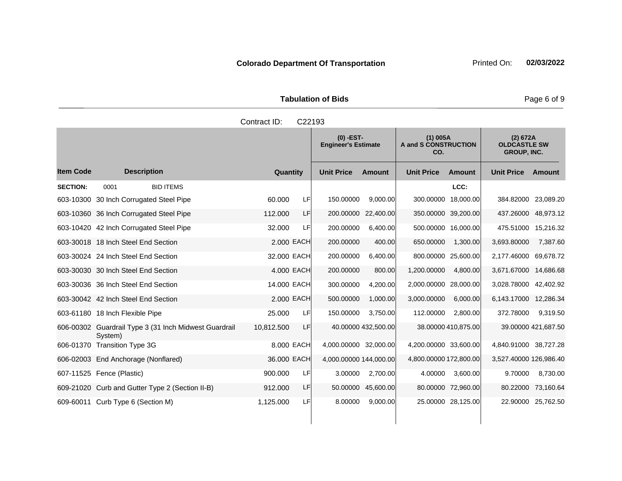Tabulation of Bids **Page 6 of 9** and 2011 11 and 2012 12:30 Page 6 of 9

|                 |                                                                  | Contract ID: | C22193     |                                           |                     |                                           |                     |                                                       |                     |
|-----------------|------------------------------------------------------------------|--------------|------------|-------------------------------------------|---------------------|-------------------------------------------|---------------------|-------------------------------------------------------|---------------------|
|                 |                                                                  |              |            | $(0)$ -EST-<br><b>Engineer's Estimate</b> |                     | $(1)$ 005A<br>A and S CONSTRUCTION<br>CO. |                     | (2) 672A<br><b>OLDCASTLE SW</b><br><b>GROUP, INC.</b> |                     |
| ltem Code       | <b>Description</b>                                               | Quantity     |            | <b>Unit Price</b>                         | <b>Amount</b>       | <b>Unit Price</b>                         | Amount              | <b>Unit Price</b>                                     | Amount              |
| <b>SECTION:</b> | <b>BID ITEMS</b><br>0001                                         |              |            |                                           |                     |                                           | LCC:                |                                                       |                     |
|                 | 603-10300 30 Inch Corrugated Steel Pipe                          | 60.000       | LF         | 150.00000                                 | 9,000.00            | 300.00000                                 | 18,000.00           | 384.82000 23,089.20                                   |                     |
|                 | 603-10360 36 Inch Corrugated Steel Pipe                          | 112.000      | LF         |                                           | 200.00000 22,400.00 |                                           | 350.00000 39,200.00 | 437.26000 48,973.12                                   |                     |
|                 | 603-10420 42 Inch Corrugated Steel Pipe                          | 32.000       | LF         | 200.00000                                 | 6,400.00            |                                           | 500.00000 16,000.00 | 475.51000 15,216.32                                   |                     |
|                 | 603-30018 18 Inch Steel End Section                              |              | 2,000 EACH | 200.00000                                 | 400.00              | 650.00000                                 | 1,300.00            | 3,693.80000                                           | 7,387.60            |
|                 | 603-30024 24 Inch Steel End Section                              | 32.000 EACH  |            | 200.00000                                 | 6,400.00            |                                           | 800.00000 25,600.00 | 2,177.46000 69,678.72                                 |                     |
|                 | 603-30030 30 Inch Steel End Section                              |              | 4.000 EACH | 200.00000                                 | 800.00              | 1,200.00000                               | 4,800.00            | 3,671.67000 14,686.68                                 |                     |
|                 | 603-30036 36 Inch Steel End Section                              | 14,000 EACH  |            | 300.00000                                 | 4,200.00            | 2,000.00000 28,000.00                     |                     | 3,028.78000                                           | 42,402.92           |
|                 | 603-30042 42 Inch Steel End Section                              |              | 2.000 EACH | 500.00000                                 | 1,000.00            | 3,000.00000                               | 6,000.00            | 6,143.17000                                           | 12,286.34           |
|                 | 603-61180 18 Inch Flexible Pipe                                  | 25.000       | LF         | 150.00000                                 | 3,750.00            | 112.00000                                 | 2,800.00            | 372.78000                                             | 9,319.50            |
|                 | 606-00302 Guardrail Type 3 (31 Inch Midwest Guardrail<br>System) | 10,812.500   | LF         |                                           | 40.00000 432,500.00 |                                           | 38.00000 410,875.00 |                                                       | 39.00000 421,687.50 |
|                 | 606-01370 Transition Type 3G                                     |              | 8,000 EACH | 4,000.00000 32,000.00                     |                     | 4,200.00000 33,600.00                     |                     | 4,840.91000 38,727.28                                 |                     |
|                 | 606-02003 End Anchorage (Nonflared)                              | 36.000 EACH  |            | 4,000.00000 144,000.00                    |                     | 4,800.00000 172,800.00                    |                     | 3,527.40000 126,986.40                                |                     |
|                 | 607-11525    Fence (Plastic)                                     | 900.000      | LF         | 3.00000                                   | 2,700.00            | 4.00000                                   | 3,600.00            | 9.70000                                               | 8,730.00            |
|                 | 609-21020 Curb and Gutter Type 2 (Section II-B)                  | 912.000      | LF         |                                           | 50.00000 45,600.00  |                                           | 80.00000 72,960.00  |                                                       | 80.22000 73,160.64  |

609-60011 Curb Type 6 (Section M) **1,125.000** LF 8.00000 9,000.00 25.00000 28,125.00 22.90000 25,762.50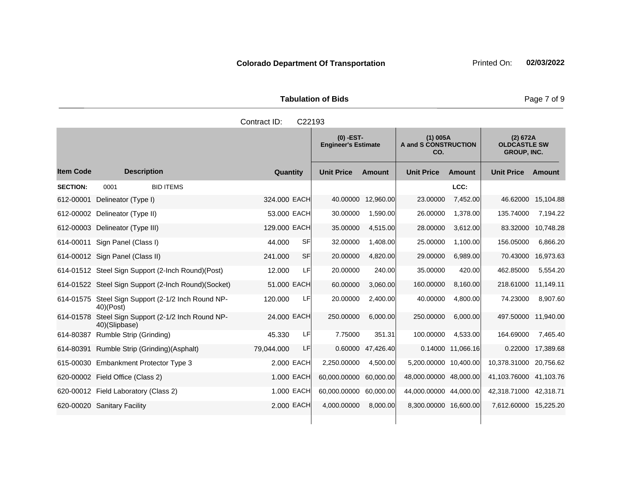|                     | <b>Tabulation of Bids</b> |  |  |
|---------------------|---------------------------|--|--|
| Contract ID: C22193 |                           |  |  |
|                     |                           |  |  |

|                  |                                                           |                      | $(0)$ -EST-<br><b>Engineer's Estimate</b> |           | $(1)$ 005A<br>A and S CONSTRUCTION<br>CO. |               | (2) 672A<br><b>OLDCASTLE SW</b><br><b>GROUP, INC.</b> |           |
|------------------|-----------------------------------------------------------|----------------------|-------------------------------------------|-----------|-------------------------------------------|---------------|-------------------------------------------------------|-----------|
| <b>Item Code</b> | <b>Description</b>                                        | Quantity             | <b>Unit Price</b>                         | Amount    | <b>Unit Price</b>                         | <b>Amount</b> | <b>Unit Price</b>                                     | Amount    |
| <b>SECTION:</b>  | 0001<br><b>BID ITEMS</b>                                  |                      |                                           |           |                                           | LCC:          |                                                       |           |
| 612-00001        | Delineator (Type I)                                       | 324,000 EACH         | 40.00000                                  | 12,960.00 | 23.00000                                  | 7,452.00      | 46.62000                                              | 15,104.88 |
|                  | 612-00002 Delineator (Type II)                            | 53,000 EACH          | 30.00000                                  | 1,590.00  | 26.00000                                  | 1.378.00      | 135.74000                                             | 7.194.22  |
| 612-00003        | Delineator (Type III)                                     | 129.000 EACH         | 35.00000                                  | 4,515.00  | 28.00000                                  | 3,612.00      | 83.32000                                              | 10,748.28 |
| 614-00011        | Sign Panel (Class I)                                      | <b>SF</b><br>44.000  | 32.00000                                  | 1,408.00  | 25.00000                                  | 1,100.00      | 156.05000                                             | 6,866.20  |
|                  | 614-00012 Sign Panel (Class II)                           | <b>SF</b><br>241.000 | 20.00000                                  | 4,820.00  | 29.00000                                  | 6,989.00      | 70.43000                                              | 16,973.63 |
|                  | 614-01512 Steel Sign Support (2-Inch Round)(Post)         | 12.000<br>LFI        | 20.00000                                  | 240.00    | 35.00000                                  | 420.00        | 462.85000                                             | 5,554.20  |
|                  | 614-01522 Steel Sign Support (2-Inch Round)(Socket)       | 51,000 EACH          | 60.00000                                  | 3,060.00  | 160.00000                                 | 8.160.00      | 218.61000 11,149.11                                   |           |
| 614-01575        | Steel Sign Support (2-1/2 Inch Round NP-<br>$40$ $(Post)$ | LFI<br>120,000       | 20.00000                                  | 2,400.00  | 40.00000                                  | 4,800.00      | 74.23000                                              | 8,907.60  |
| 614-01578        | Steel Sign Support (2-1/2 Inch Round NP-<br>40)(Slipbase) | 24.000 EACH          | 250.00000                                 | 6,000.00  | 250.00000                                 | 6,000.00      | 497.50000 11,940.00                                   |           |
| 614-80387        | Rumble Strip (Grinding)                                   | LFI<br>45.330        | 7.75000                                   | 351.31    | 100.00000                                 | 4,533.00      | 164.69000                                             | 7,465.40  |
| 614-80391        | Rumble Strip (Grinding) (Asphalt)                         | LF.<br>79,044.000    | 0.60000                                   | 47,426.40 | 0.14000                                   | 11,066.16     | 0.22000                                               | 17,389.68 |
|                  | 615-00030 Embankment Protector Type 3                     | 2.000 EACH           | 2,250.00000                               | 4,500.00  | 5,200.00000 10,400.00                     |               | 10,378.31000                                          | 20,756.62 |
|                  | 620-00002 Field Office (Class 2)                          | 1.000 EACH           | 60,000.00000                              | 60,000.00 | 48,000.00000 48,000.00                    |               | 41,103.76000 41,103.76                                |           |
|                  | 620-00012 Field Laboratory (Class 2)                      | 1.000 EACH           | 60,000.00000                              | 60.000.00 | 44,000.00000 44,000.00                    |               | 42,318.71000 42,318.71                                |           |
|                  | 620-00020 Sanitary Facility                               | 2.000 EACH           | 4,000.00000                               | 8,000.00  | 8,300.00000 16,600.00                     |               | 7,612.60000 15,225.20                                 |           |

Page 7 of 9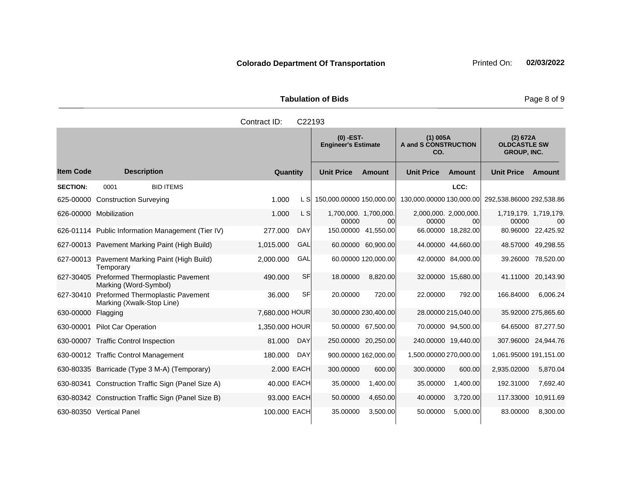|                     | <b>Tabulation of Bids</b>        |                                    |  |
|---------------------|----------------------------------|------------------------------------|--|
| Contract ID: C22193 |                                  |                                    |  |
|                     | (0) -EST-<br>Engineer's Estimate | $(1)$ 005A<br>A and S CONSTRUCTION |  |

#### **Quantity Unit Price Unit Price Item Code Amount Unit Price Amount Ext Ext Unit Price Amount Ext CO. (2) 672A OLDCASTLE SW GROUP, INC. Description SECTION:** 0001 BID ITEMS **LCC:** 625-00000 Construction Surveying 1.000 L S 150,000.00000 150,000.00 130,000.00000 130,000.00 292,538.86000 292,538.86 626-00000 Mobilization 1.000 L S 00000 1,700,000. 00 2,000,000. 2,000,000. 00000 00 1,719,179. 1,719,179. 00000 00 626-01114 Public Information Management (Tier IV) 277.000 DAY 150.00000 41,550.00 66.00000 18,282.00 80.96000 22,425.92 627-00013 Pavement Marking Paint (High Build) 1,015.000 GAL 60.00000 60,900.00 44.00000 44,660.00 48.57000 49,298.55 627-00013 Pavement Marking Paint (High Build) **Temporary** 2,000.000 GAL 60.00000 120,000.00 42.00000 84,000.00 39.26000 78,520.00 627-30405 Preformed Thermoplastic Pavement Marking (Word-Symbol) 490.000 SF 18.00000 8,820.00 32.00000 15,680.00 41.11000 20,143.90 627-30410 Preformed Thermoplastic Pavement Marking (Xwalk-Stop Line) 36.000 SF 20.00000 720.00 22.00000 792.00 166.84000 6,006.24 630-00000 Flagging 7,680.000 HOUR 30.00000 230,400.00 28.00000 215,040.00 35.92000 275,865.60 630-00001 Pilot Car Operation 1,350.000 HOUR 50.00000 67,500.00 70.00000 94,500.00 64.65000 87,277.50 630-00007 Traffic Control Inspection 81.000 DAY 250.00000 20,250.00 240.00000 19,440.00 307.96000 24,944.76 630-00012 Traffic Control Management 180.000 DAY 900.00000 162,000.00 1,500.00000 270,000.00 1,061.95000 191,151.00 630-80335 Barricade (Type 3 M-A) (Temporary) 2.000 EACH 300.00000 600.00 300.00000 600.00 2,935.02000 5,870.04 630-80341 Construction Traffic Sign (Panel Size A) 40.000 EACH 35.00000 1,400.00 35.00000 1,400.00 192.31000 7,692.40 630-80342 Construction Traffic Sign (Panel Size B) 93.000 EACH 50.00000 4,650.00 40.00000 3,720.00 117.33000 10,911.69

630-80350 Vertical Panel 100.000 EACH 35.00000 3,500.00 50.00000 5,000.00 83.00000 8,300.00

Page 8 of 9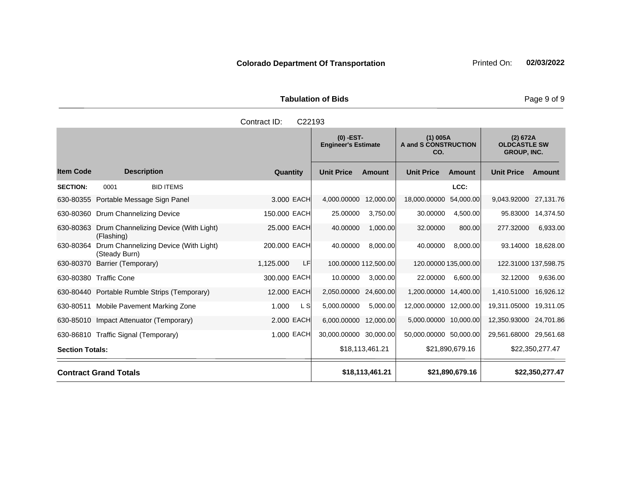|                     | <b>Tabulation of Bids</b> |
|---------------------|---------------------------|
| Contract ID: C22193 |                           |

|                        |                                                        |                  | $(0)$ -EST-<br><b>Engineer's Estimate</b> |                      | $(1)$ 005A<br>A and S CONSTRUCTION<br>CO. |                      | (2) 672A<br><b>OLDCASTLE SW</b><br><b>GROUP, INC.</b> |                    |
|------------------------|--------------------------------------------------------|------------------|-------------------------------------------|----------------------|-------------------------------------------|----------------------|-------------------------------------------------------|--------------------|
| <b>Item Code</b>       | <b>Description</b>                                     | Quantity         | <b>Unit Price</b>                         | Amount               | <b>Unit Price</b>                         | Amount               | <b>Unit Price</b>                                     | Amount             |
| <b>SECTION:</b>        | <b>BID ITEMS</b><br>0001                               |                  |                                           |                      |                                           | LCC:                 |                                                       |                    |
|                        | 630-80355 Portable Message Sign Panel                  | 3,000 EACH       | 4,000.00000                               | 12,000.00            | 18,000.00000                              | 54,000.00            | 9,043.92000 27,131.76                                 |                    |
|                        | 630-80360 Drum Channelizing Device                     | 150.000 EACH     | 25.00000                                  | 3,750.00             | 30.00000                                  | 4,500.00             | 95.83000                                              | 14,374.50          |
| 630-80363              | Drum Channelizing Device (With Light)<br>(Flashing)    | 25.000 EACH      | 40.00000                                  | 1,000.00             | 32.00000                                  | 800.00               | 277.32000                                             | 6,933.00           |
| 630-80364              | Drum Channelizing Device (With Light)<br>(Steady Burn) | 200.000 EACH     | 40.00000                                  | 8,000.00             | 40.00000                                  | 8,000.00             |                                                       | 93.14000 18,628.00 |
| 630-80370              | Barrier (Temporary)                                    | LF.<br>1.125.000 |                                           | 100.00000 112,500.00 |                                           | 120.00000 135,000.00 | 122.31000 137,598.75                                  |                    |
|                        | 630-80380 Traffic Cone                                 | 300.000 EACH     | 10.00000                                  | 3,000.00             | 22.00000                                  | 6,600.00             | 32.12000                                              | 9,636.00           |
|                        | 630-80440 Portable Rumble Strips (Temporary)           | 12.000 EACH      | 2,050.00000                               | 24,600.00            | 1,200.00000 14,400.00                     |                      | 1,410.51000                                           | 16,926.12          |
|                        | 630-80511 Mobile Pavement Marking Zone                 | 1.000<br>L S     | 5,000.00000                               | 5,000.00             | 12,000.00000 12,000.00                    |                      | 19,311.05000                                          | 19,311.05          |
|                        | 630-85010 Impact Attenuator (Temporary)                | 2.000 EACH       | 6,000.00000                               | 12,000.00            | 5,000.00000 10,000.00                     |                      | 12,350.93000 24,701.86                                |                    |
|                        | 630-86810 Traffic Signal (Temporary)                   | 1.000 EACH       | 30,000.00000 30,000.00                    |                      | 50,000.00000 50,000.00                    |                      | 29,561.68000 29,561.68                                |                    |
| <b>Section Totals:</b> |                                                        |                  |                                           | \$18,113,461.21      |                                           | \$21,890,679.16      |                                                       | \$22,350,277.47    |
|                        | <b>Contract Grand Totals</b>                           |                  |                                           | \$18,113,461.21      |                                           | \$21,890,679.16      |                                                       | \$22,350,277.47    |

Page 9 of 9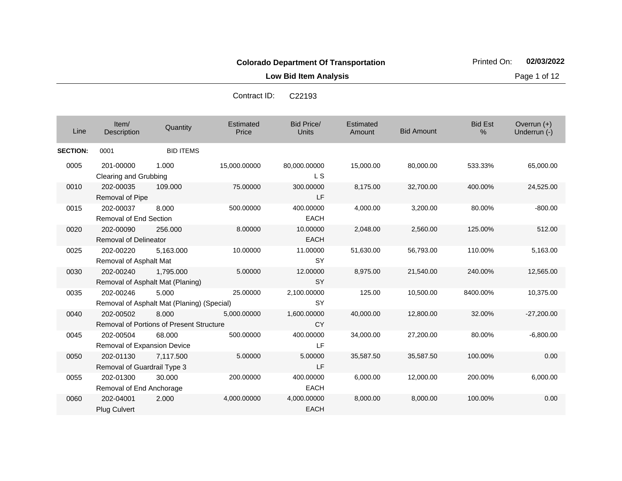**CY** 

LF

LF

EACH

EACH

**Low Bid Item Analysis Page 1 of 12** 

40,000.00 12,800.00 32.00% -27,200.00

34,000.00 27,200.00 80.00% -6,800.00

35,587.50 35,587.50 100.00% 0.00

6,000.00 12,000.00 200.00% 6,000.00

8,000.00 8,000.00 100.00% 0.00

Contract ID: C22193

| Line            | Item $\sqrt{ }$<br>Description            | Quantity                                            | Estimated<br>Price | Bid Price/<br><b>Units</b> | Estimated<br>Amount | <b>Bid Amount</b> | <b>Bid Est</b><br>$\%$ | Overrun $(+)$<br>Underrun (-) |
|-----------------|-------------------------------------------|-----------------------------------------------------|--------------------|----------------------------|---------------------|-------------------|------------------------|-------------------------------|
| <b>SECTION:</b> | 0001                                      | <b>BID ITEMS</b>                                    |                    |                            |                     |                   |                        |                               |
| 0005            | 201-00000<br>Clearing and Grubbing        | 1.000                                               | 15,000.00000       | 80,000.00000<br>L S        | 15,000.00           | 80,000.00         | 533.33%                | 65,000.00                     |
| 0010            | 202-00035<br>Removal of Pipe              | 109.000                                             | 75.00000           | 300.00000<br>LF            | 8,175.00            | 32,700.00         | 400.00%                | 24,525.00                     |
| 0015            | 202-00037<br>Removal of End Section       | 8.000                                               | 500.00000          | 400.00000<br><b>EACH</b>   | 4,000.00            | 3,200.00          | 80.00%                 | $-800.00$                     |
| 0020            | 202-00090<br><b>Removal of Delineator</b> | 256,000                                             | 8.00000            | 10.00000<br><b>EACH</b>    | 2,048.00            | 2,560.00          | 125.00%                | 512.00                        |
| 0025            | 202-00220<br>Removal of Asphalt Mat       | 5,163.000                                           | 10.00000           | 11.00000<br>SY             | 51,630.00           | 56,793.00         | 110.00%                | 5,163.00                      |
| 0030            | 202-00240                                 | 1,795.000<br>Removal of Asphalt Mat (Planing)       | 5.00000            | 12.00000<br>SY             | 8,975.00            | 21,540.00         | 240.00%                | 12,565.00                     |
| 0035            | 202-00246                                 | 5.000<br>Removal of Asphalt Mat (Planing) (Special) | 25.00000           | 2,100.00000<br>SY          | 125.00              | 10,500.00         | 8400.00%               | 10,375.00                     |

8.000 5,000.00000 1,600.00000

68.000 500.00000 400.00000

7,117.500 5.00000 5.00000

30.000 200.00000 400.00000

2.000 4,000.00000 4,000.00000

0040 202-00502

0045 202-00504

0050 202-01130

0055 202-01300

0060 202-04001

Plug Culvert

Removal of Portions of Present Structure

Removal of Expansion Device

Removal of Guardrail Type 3

Removal of End Anchorage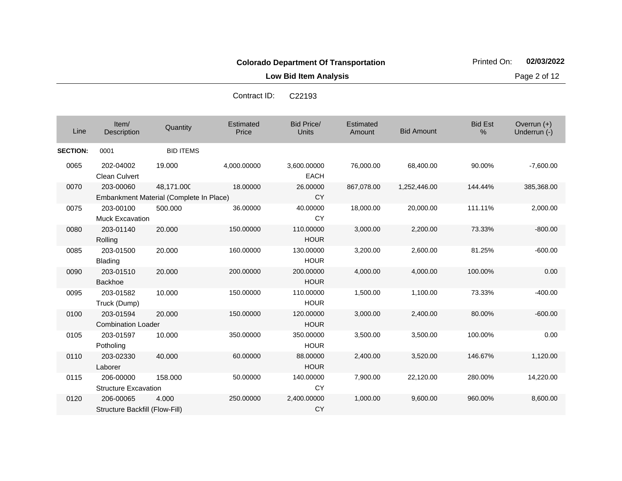**Low Bid Item Analysis Page 2 of 12** 

| Line            | Item/<br>Description                        | Quantity                                | Estimated<br>Price | <b>Bid Price/</b><br><b>Units</b> | Estimated<br>Amount | <b>Bid Amount</b> | <b>Bid Est</b><br>% | Overrun (+)<br>Underrun (-) |
|-----------------|---------------------------------------------|-----------------------------------------|--------------------|-----------------------------------|---------------------|-------------------|---------------------|-----------------------------|
| <b>SECTION:</b> | 0001                                        | <b>BID ITEMS</b>                        |                    |                                   |                     |                   |                     |                             |
| 0065            | 202-04002<br>Clean Culvert                  | 19.000                                  | 4,000.00000        | 3,600.00000<br><b>EACH</b>        | 76,000.00           | 68,400.00         | 90.00%              | $-7,600.00$                 |
| 0070            | 203-00060                                   | 48,171.000                              | 18.00000           | 26.00000                          | 867,078.00          | 1,252,446.00      | 144.44%             | 385,368.00                  |
|                 |                                             | Embankment Material (Complete In Place) |                    | <b>CY</b>                         |                     |                   |                     |                             |
| 0075            | 203-00100<br><b>Muck Excavation</b>         | 500.000                                 | 36.00000           | 40.00000<br><b>CY</b>             | 18,000.00           | 20,000.00         | 111.11%             | 2,000.00                    |
| 0080            | 203-01140<br>Rolling                        | 20.000                                  | 150.00000          | 110.00000<br><b>HOUR</b>          | 3,000.00            | 2,200.00          | 73.33%              | $-800.00$                   |
| 0085            | 203-01500<br><b>Blading</b>                 | 20,000                                  | 160.00000          | 130.00000<br><b>HOUR</b>          | 3,200.00            | 2,600.00          | 81.25%              | $-600.00$                   |
| 0090            | 203-01510<br><b>Backhoe</b>                 | 20,000                                  | 200.00000          | 200.00000<br><b>HOUR</b>          | 4,000.00            | 4,000.00          | 100.00%             | 0.00                        |
| 0095            | 203-01582<br>Truck (Dump)                   | 10.000                                  | 150.00000          | 110.00000<br><b>HOUR</b>          | 1,500.00            | 1,100.00          | 73.33%              | $-400.00$                   |
| 0100            | 203-01594<br><b>Combination Loader</b>      | 20.000                                  | 150.00000          | 120.00000<br><b>HOUR</b>          | 3,000.00            | 2,400.00          | 80.00%              | $-600.00$                   |
| 0105            | 203-01597<br>Potholing                      | 10.000                                  | 350.00000          | 350.00000<br><b>HOUR</b>          | 3,500.00            | 3,500.00          | 100.00%             | 0.00                        |
| 0110            | 203-02330<br>Laborer                        | 40.000                                  | 60.00000           | 88.00000<br><b>HOUR</b>           | 2,400.00            | 3,520.00          | 146.67%             | 1,120.00                    |
| 0115            | 206-00000<br><b>Structure Excavation</b>    | 158.000                                 | 50.00000           | 140.00000<br><b>CY</b>            | 7,900.00            | 22,120.00         | 280.00%             | 14,220.00                   |
| 0120            | 206-00065<br>Structure Backfill (Flow-Fill) | 4.000                                   | 250.00000          | 2,400.00000<br><b>CY</b>          | 1,000.00            | 9,600.00          | 960.00%             | 8,600.00                    |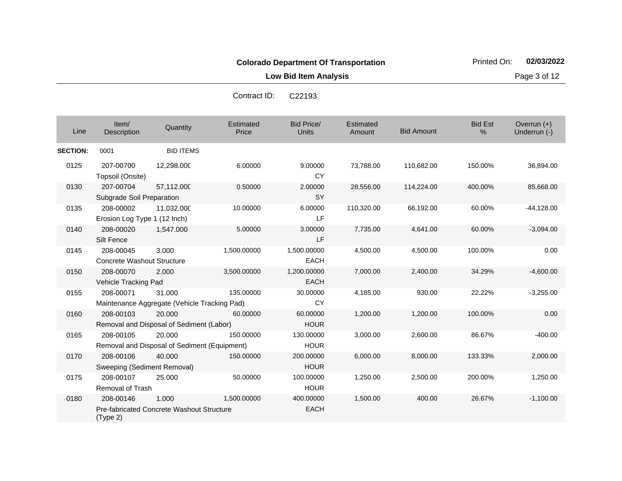**Low Bid Item Analysis Page 3 of 12** 

| Line            | Item/<br>Description                           | Quantity                                                  | Estimated<br>Price | <b>Bid Price/</b><br><b>Units</b> | Estimated<br>Amount | <b>Bid Amount</b> | <b>Bid Est</b><br>% | Overrun (+)<br>Underrun (-) |
|-----------------|------------------------------------------------|-----------------------------------------------------------|--------------------|-----------------------------------|---------------------|-------------------|---------------------|-----------------------------|
| <b>SECTION:</b> | 0001                                           | <b>BID ITEMS</b>                                          |                    |                                   |                     |                   |                     |                             |
| 0125            | 207-00700<br>Topsoil (Onsite)                  | 12,298.000                                                | 6.00000            | 9.00000<br><b>CY</b>              | 73,788.00           | 110,682.00        | 150.00%             | 36,894.00                   |
| 0130            | 207-00704<br>Subgrade Soil Preparation         | 57,112.000                                                | 0.50000            | 2.00000<br><b>SY</b>              | 28,556.00           | 114,224.00        | 400.00%             | 85,668.00                   |
| 0135            | 208-00002<br>Erosion Log Type 1 (12 Inch)      | 11,032.000                                                | 10.00000           | 6.00000<br>LF                     | 110,320.00          | 66,192.00         | 60.00%              | $-44,128.00$                |
| 0140            | 208-00020<br>Silt Fence                        | 1,547.000                                                 | 5.00000            | 3.00000<br><b>LF</b>              | 7,735.00            | 4,641.00          | 60.00%              | $-3,094.00$                 |
| 0145            | 208-00045<br><b>Concrete Washout Structure</b> | 3.000                                                     | 1,500.00000        | 1,500.00000<br><b>EACH</b>        | 4,500.00            | 4,500.00          | 100.00%             | 0.00                        |
| 0150            | 208-00070<br>Vehicle Tracking Pad              | 2.000                                                     | 3,500.00000        | 1,200.00000<br><b>EACH</b>        | 7,000.00            | 2,400.00          | 34.29%              | $-4,600.00$                 |
| 0155            | 208-00071                                      | 31.000<br>Maintenance Aggregate (Vehicle Tracking Pad)    | 135.00000          | 30.00000<br>CY                    | 4,185.00            | 930.00            | 22.22%              | $-3,255.00$                 |
| 0160            | 208-00103                                      | 20.000<br>Removal and Disposal of Sediment (Labor)        | 60.00000           | 60.00000<br><b>HOUR</b>           | 1,200.00            | 1,200.00          | 100.00%             | 0.00                        |
| 0165            | 208-00105                                      | 20.000<br>Removal and Disposal of Sediment (Equipment)    | 150.00000          | 130.00000<br><b>HOUR</b>          | 3,000.00            | 2,600.00          | 86.67%              | $-400.00$                   |
| 0170            | 208-00106<br>Sweeping (Sediment Removal)       | 40.000                                                    | 150.00000          | 200.00000<br><b>HOUR</b>          | 6,000.00            | 8,000.00          | 133.33%             | 2,000.00                    |
| 0175            | 208-00107<br><b>Removal of Trash</b>           | 25.000                                                    | 50.00000           | 100.00000<br><b>HOUR</b>          | 1,250.00            | 2,500.00          | 200.00%             | 1,250.00                    |
| 0180            | 208-00146<br>(Type 2)                          | 1.000<br><b>Pre-fabricated Concrete Washout Structure</b> | 1,500.00000        | 400.00000<br><b>EACH</b>          | 1,500.00            | 400.00            | 26.67%              | $-1,100.00$                 |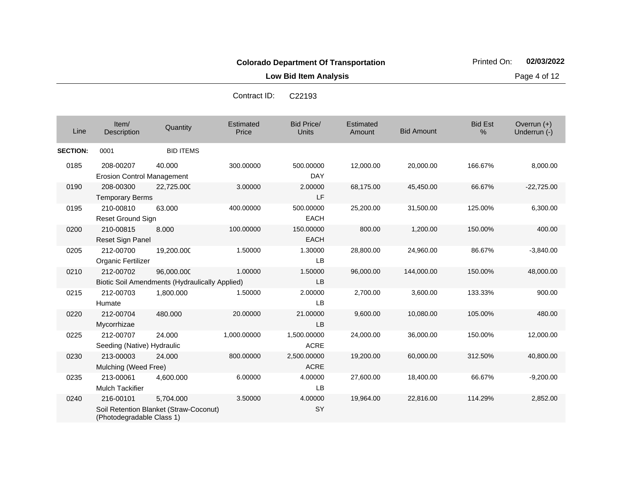**Low Bid Item Analysis Page 4 of 12** 

| Line            | Item/<br>Description                           | Quantity                                                     | Estimated<br>Price | <b>Bid Price/</b><br>Units | Estimated<br>Amount | <b>Bid Amount</b> | <b>Bid Est</b><br>% | Overrun (+)<br>Underrun (-) |
|-----------------|------------------------------------------------|--------------------------------------------------------------|--------------------|----------------------------|---------------------|-------------------|---------------------|-----------------------------|
| <b>SECTION:</b> | 0001                                           | <b>BID ITEMS</b>                                             |                    |                            |                     |                   |                     |                             |
| 0185            | 208-00207<br><b>Erosion Control Management</b> | 40.000                                                       | 300.00000          | 500.00000<br><b>DAY</b>    | 12,000.00           | 20,000.00         | 166.67%             | 8,000.00                    |
| 0190            | 208-00300<br><b>Temporary Berms</b>            | 22,725.000                                                   | 3.00000            | 2.00000<br>LF              | 68,175.00           | 45,450.00         | 66.67%              | $-22,725.00$                |
| 0195            | 210-00810<br>Reset Ground Sign                 | 63.000                                                       | 400.00000          | 500.00000<br><b>EACH</b>   | 25,200.00           | 31,500.00         | 125.00%             | 6,300.00                    |
| 0200            | 210-00815<br>Reset Sign Panel                  | 8.000                                                        | 100.00000          | 150.00000<br><b>EACH</b>   | 800.00              | 1,200.00          | 150.00%             | 400.00                      |
| 0205            | 212-00700<br>Organic Fertilizer                | 19,200.000                                                   | 1.50000            | 1.30000<br><b>LB</b>       | 28,800.00           | 24,960.00         | 86.67%              | $-3,840.00$                 |
| 0210            | 212-00702                                      | 96,000.000<br>Biotic Soil Amendments (Hydraulically Applied) | 1.00000            | 1.50000<br>LB              | 96,000.00           | 144,000.00        | 150.00%             | 48,000.00                   |
| 0215            | 212-00703<br>Humate                            | 1,800.000                                                    | 1.50000            | 2.00000<br><b>LB</b>       | 2,700.00            | 3,600.00          | 133.33%             | 900.00                      |
| 0220            | 212-00704<br>Mycorrhizae                       | 480.000                                                      | 20.00000           | 21.00000<br><b>LB</b>      | 9,600.00            | 10,080.00         | 105.00%             | 480.00                      |
| 0225            | 212-00707<br>Seeding (Native) Hydraulic        | 24.000                                                       | 1,000.00000        | 1,500.00000<br><b>ACRE</b> | 24,000.00           | 36,000.00         | 150.00%             | 12,000.00                   |
| 0230            | 213-00003<br>Mulching (Weed Free)              | 24.000                                                       | 800.00000          | 2,500.00000<br><b>ACRE</b> | 19,200.00           | 60,000.00         | 312.50%             | 40,800.00                   |
| 0235            | 213-00061<br><b>Mulch Tackifier</b>            | 4,600.000                                                    | 6.00000            | 4.00000<br>LB              | 27,600.00           | 18,400.00         | 66.67%              | $-9,200.00$                 |
| 0240            | 216-00101<br>(Photodegradable Class 1)         | 5,704.000<br>Soil Retention Blanket (Straw-Coconut)          | 3.50000            | 4.00000<br><b>SY</b>       | 19,964.00           | 22,816.00         | 114.29%             | 2,852.00                    |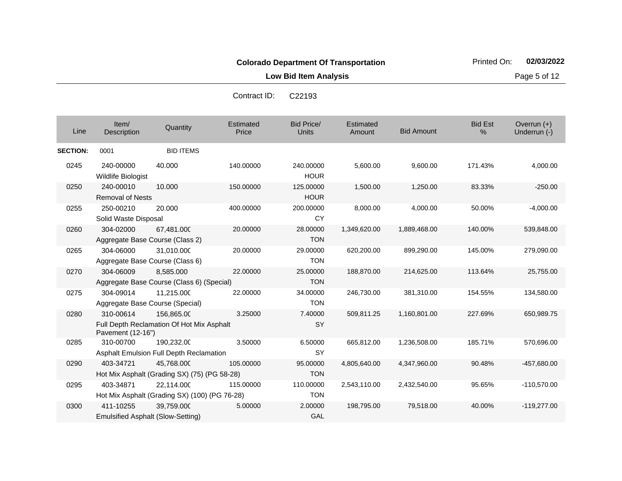**Low Bid Item Analysis Page 5 of 12** 

| Line            | Item/<br><b>Description</b>                           | Quantity                                                    | Estimated<br>Price | <b>Bid Price/</b><br>Units | Estimated<br>Amount | <b>Bid Amount</b> | <b>Bid Est</b><br>% | Overrun $(+)$<br>Underrun (-) |
|-----------------|-------------------------------------------------------|-------------------------------------------------------------|--------------------|----------------------------|---------------------|-------------------|---------------------|-------------------------------|
| <b>SECTION:</b> | 0001                                                  | <b>BID ITEMS</b>                                            |                    |                            |                     |                   |                     |                               |
| 0245            | 240-00000<br>Wildlife Biologist                       | 40.000                                                      | 140.00000          | 240.00000<br><b>HOUR</b>   | 5,600.00            | 9,600.00          | 171.43%             | 4,000.00                      |
| 0250            | 240-00010<br><b>Removal of Nests</b>                  | 10.000                                                      | 150.00000          | 125.00000<br><b>HOUR</b>   | 1,500.00            | 1,250.00          | 83.33%              | $-250.00$                     |
| 0255            | 250-00210<br>Solid Waste Disposal                     | 20.000                                                      | 400.00000          | 200.00000<br>CY            | 8,000.00            | 4,000.00          | 50.00%              | $-4,000.00$                   |
| 0260            | 304-02000<br>Aggregate Base Course (Class 2)          | 67,481.000                                                  | 20.00000           | 28.00000<br><b>TON</b>     | 1,349,620.00        | 1,889,468.00      | 140.00%             | 539,848.00                    |
| 0265            | 304-06000<br>Aggregate Base Course (Class 6)          | 31.010.000                                                  | 20.00000           | 29.00000<br><b>TON</b>     | 620,200.00          | 899,290.00        | 145.00%             | 279,090.00                    |
| 0270            | 304-06009                                             | 8,585.000<br>Aggregate Base Course (Class 6) (Special)      | 22.00000           | 25.00000<br><b>TON</b>     | 188,870.00          | 214,625.00        | 113.64%             | 25,755.00                     |
| 0275            | 304-09014<br>Aggregate Base Course (Special)          | 11,215.000                                                  | 22.00000           | 34.00000<br><b>TON</b>     | 246,730.00          | 381,310.00        | 154.55%             | 134,580.00                    |
| 0280            | 310-00614<br>Pavement (12-16")                        | 156,865.00<br>Full Depth Reclamation Of Hot Mix Asphalt     | 3.25000            | 7.40000<br>SY              | 509,811.25          | 1,160,801.00      | 227.69%             | 650,989.75                    |
| 0285            | 310-00700                                             | 190.232.00<br>Asphalt Emulsion Full Depth Reclamation       | 3.50000            | 6.50000<br>SY              | 665,812.00          | 1,236,508.00      | 185.71%             | 570,696.00                    |
| 0290            | 403-34721                                             | 45,768.000<br>Hot Mix Asphalt (Grading SX) (75) (PG 58-28)  | 105.00000          | 95.00000<br><b>TON</b>     | 4,805,640.00        | 4,347,960.00      | 90.48%              | -457,680.00                   |
| 0295            | 403-34871                                             | 22.114.000<br>Hot Mix Asphalt (Grading SX) (100) (PG 76-28) | 115.00000          | 110.00000<br><b>TON</b>    | 2,543,110.00        | 2,432,540.00      | 95.65%              | $-110,570.00$                 |
| 0300            | 411-10255<br><b>Emulsified Asphalt (Slow-Setting)</b> | 39,759.000                                                  | 5.00000            | 2.00000<br>GAL             | 198,795.00          | 79,518.00         | 40.00%              | $-119.277.00$                 |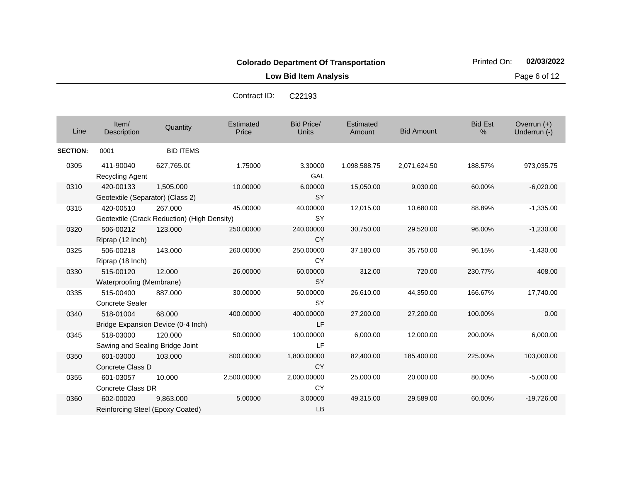**Low Bid Item Analysis Page 6 of 12** 

| Line            | Item/<br>Description                          | Quantity                                               | Estimated<br>Price | <b>Bid Price/</b><br><b>Units</b> | Estimated<br>Amount | <b>Bid Amount</b> | <b>Bid Est</b><br>% | Overrun (+)<br>Underrun (-) |
|-----------------|-----------------------------------------------|--------------------------------------------------------|--------------------|-----------------------------------|---------------------|-------------------|---------------------|-----------------------------|
| <b>SECTION:</b> | 0001                                          | <b>BID ITEMS</b>                                       |                    |                                   |                     |                   |                     |                             |
| 0305            | 411-90040<br>Recycling Agent                  | 627,765.00                                             | 1.75000            | 3.30000<br>GAL                    | 1,098,588.75        | 2,071,624.50      | 188.57%             | 973,035.75                  |
| 0310            | 420-00133<br>Geotextile (Separator) (Class 2) | 1,505.000                                              | 10.00000           | 6.00000<br><b>SY</b>              | 15,050.00           | 9,030.00          | 60.00%              | $-6,020.00$                 |
| 0315            | 420-00510                                     | 267.000<br>Geotextile (Crack Reduction) (High Density) | 45.00000           | 40.00000<br><b>SY</b>             | 12,015.00           | 10,680.00         | 88.89%              | $-1,335.00$                 |
| 0320            | 506-00212<br>Riprap (12 Inch)                 | 123.000                                                | 250.00000          | 240.00000<br><b>CY</b>            | 30,750.00           | 29,520.00         | 96.00%              | $-1,230.00$                 |
| 0325            | 506-00218<br>Riprap (18 Inch)                 | 143.000                                                | 260.00000          | 250.00000<br><b>CY</b>            | 37,180.00           | 35,750.00         | 96.15%              | $-1,430.00$                 |
| 0330            | 515-00120<br>Waterproofing (Membrane)         | 12.000                                                 | 26.00000           | 60.00000<br><b>SY</b>             | 312.00              | 720.00            | 230.77%             | 408.00                      |
| 0335            | 515-00400<br>Concrete Sealer                  | 887.000                                                | 30.00000           | 50.00000<br><b>SY</b>             | 26,610.00           | 44,350.00         | 166.67%             | 17,740.00                   |
| 0340            | 518-01004                                     | 68,000<br>Bridge Expansion Device (0-4 Inch)           | 400.00000          | 400.00000<br>LF                   | 27,200.00           | 27,200.00         | 100.00%             | 0.00                        |
| 0345            | 518-03000<br>Sawing and Sealing Bridge Joint  | 120.000                                                | 50.00000           | 100.00000<br>LF                   | 6,000.00            | 12,000.00         | 200.00%             | 6,000.00                    |
| 0350            | 601-03000<br>Concrete Class D                 | 103.000                                                | 800.00000          | 1,800.00000<br><b>CY</b>          | 82,400.00           | 185,400.00        | 225.00%             | 103,000.00                  |
| 0355            | 601-03057<br>Concrete Class DR                | 10.000                                                 | 2,500.00000        | 2,000.00000<br><b>CY</b>          | 25,000.00           | 20,000.00         | 80.00%              | $-5,000.00$                 |
| 0360            | 602-00020<br>Reinforcing Steel (Epoxy Coated) | 9,863.000                                              | 5.00000            | 3.00000<br>LB                     | 49,315.00           | 29,589.00         | 60.00%              | $-19,726.00$                |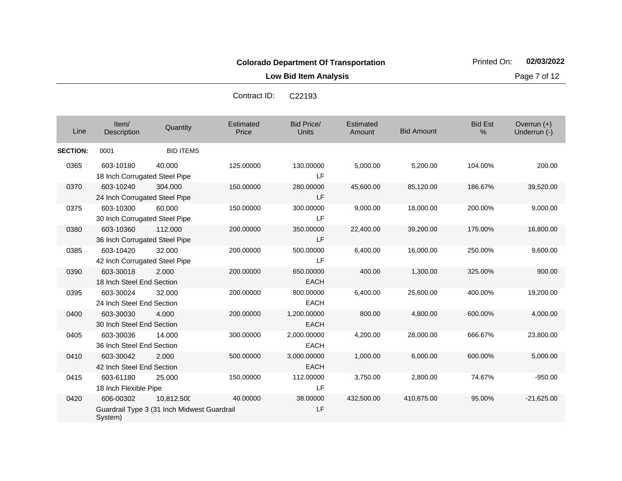**Low Bid Item Analysis Page 7 of 12** 

| Line            | Item/<br>Description                       | Quantity                                                  | Estimated<br>Price | <b>Bid Price/</b><br>Units | Estimated<br>Amount | <b>Bid Amount</b> | <b>Bid Est</b><br>% | Overrun $(+)$<br>Underrun (-) |
|-----------------|--------------------------------------------|-----------------------------------------------------------|--------------------|----------------------------|---------------------|-------------------|---------------------|-------------------------------|
| <b>SECTION:</b> | 0001                                       | <b>BID ITEMS</b>                                          |                    |                            |                     |                   |                     |                               |
| 0365            | 603-10180<br>18 Inch Corrugated Steel Pipe | 40.000                                                    | 125.00000          | 130.00000<br>LF            | 5,000.00            | 5,200.00          | 104.00%             | 200.00                        |
| 0370            | 603-10240<br>24 Inch Corrugated Steel Pipe | 304.000                                                   | 150.00000          | 280.00000<br>LF            | 45,600.00           | 85,120.00         | 186.67%             | 39,520.00                     |
| 0375            | 603-10300<br>30 Inch Corrugated Steel Pipe | 60.000                                                    | 150.00000          | 300.00000<br>LF            | 9,000.00            | 18,000.00         | 200.00%             | 9,000.00                      |
| 0380            | 603-10360<br>36 Inch Corrugated Steel Pipe | 112,000                                                   | 200.00000          | 350.00000<br>LF            | 22,400.00           | 39,200.00         | 175.00%             | 16,800.00                     |
| 0385            | 603-10420<br>42 Inch Corrugated Steel Pipe | 32.000                                                    | 200.00000          | 500.00000<br>I F           | 6,400.00            | 16,000.00         | 250.00%             | 9,600.00                      |
| 0390            | 603-30018<br>18 Inch Steel End Section     | 2.000                                                     | 200.00000          | 650.00000<br><b>EACH</b>   | 400.00              | 1,300.00          | 325.00%             | 900.00                        |
| 0395            | 603-30024<br>24 Inch Steel End Section     | 32,000                                                    | 200.00000          | 800.00000<br><b>EACH</b>   | 6,400.00            | 25,600.00         | 400.00%             | 19,200.00                     |
| 0400            | 603-30030<br>30 Inch Steel End Section     | 4.000                                                     | 200.00000          | 1,200.00000<br><b>EACH</b> | 800.00              | 4,800.00          | 600.00%             | 4,000.00                      |
| 0405            | 603-30036<br>36 Inch Steel End Section     | 14.000                                                    | 300.00000          | 2,000.00000<br>EACH        | 4,200.00            | 28,000.00         | 666.67%             | 23,800.00                     |
| 0410            | 603-30042<br>42 Inch Steel End Section     | 2.000                                                     | 500.00000          | 3,000.00000<br><b>EACH</b> | 1,000.00            | 6,000.00          | 600.00%             | 5,000.00                      |
| 0415            | 603-61180<br>18 Inch Flexible Pipe         | 25,000                                                    | 150.00000          | 112.00000<br>LF            | 3,750.00            | 2.800.00          | 74.67%              | $-950.00$                     |
| 0420            | 606-00302<br>System)                       | 10,812.500<br>Guardrail Type 3 (31 Inch Midwest Guardrail | 40.00000           | 38.00000<br>LF             | 432,500.00          | 410,875.00        | 95.00%              | $-21,625.00$                  |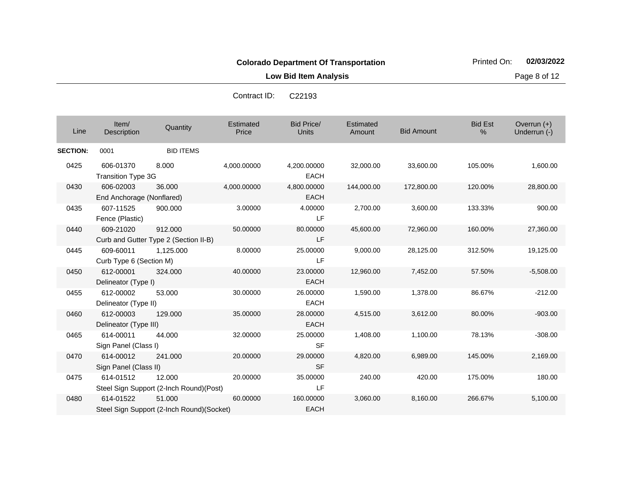**Low Bid Item Analysis Page 8 of 12** 

| Line            | Item/<br>Description                   | Quantity                                            | Estimated<br>Price | <b>Bid Price/</b><br>Units | Estimated<br>Amount | <b>Bid Amount</b> | <b>Bid Est</b><br>% | Overrun $(+)$<br>Underrun (-) |
|-----------------|----------------------------------------|-----------------------------------------------------|--------------------|----------------------------|---------------------|-------------------|---------------------|-------------------------------|
| <b>SECTION:</b> | 0001                                   | <b>BID ITEMS</b>                                    |                    |                            |                     |                   |                     |                               |
| 0425            | 606-01370<br><b>Transition Type 3G</b> | 8.000                                               | 4,000.00000        | 4,200.00000<br><b>EACH</b> | 32,000.00           | 33,600.00         | 105.00%             | 1,600.00                      |
| 0430            | 606-02003<br>End Anchorage (Nonflared) | 36,000                                              | 4,000.00000        | 4,800.00000<br><b>EACH</b> | 144,000.00          | 172,800.00        | 120.00%             | 28,800.00                     |
| 0435            | 607-11525<br>Fence (Plastic)           | 900.000                                             | 3.00000            | 4.00000<br><b>LF</b>       | 2,700.00            | 3,600.00          | 133.33%             | 900.00                        |
| 0440            | 609-21020                              | 912,000<br>Curb and Gutter Type 2 (Section II-B)    | 50.00000           | 80.00000<br><b>LF</b>      | 45,600.00           | 72,960.00         | 160.00%             | 27,360.00                     |
| 0445            | 609-60011<br>Curb Type 6 (Section M)   | 1,125.000                                           | 8.00000            | 25.00000<br>LF             | 9,000.00            | 28,125.00         | 312.50%             | 19,125.00                     |
| 0450            | 612-00001<br>Delineator (Type I)       | 324.000                                             | 40.00000           | 23.00000<br><b>EACH</b>    | 12,960.00           | 7,452.00          | 57.50%              | $-5,508.00$                   |
| 0455            | 612-00002<br>Delineator (Type II)      | 53.000                                              | 30.00000           | 26.00000<br><b>EACH</b>    | 1,590.00            | 1,378.00          | 86.67%              | $-212.00$                     |
| 0460            | 612-00003<br>Delineator (Type III)     | 129,000                                             | 35.00000           | 28.00000<br><b>EACH</b>    | 4,515.00            | 3,612.00          | 80.00%              | $-903.00$                     |
| 0465            | 614-00011<br>Sign Panel (Class I)      | 44.000                                              | 32.00000           | 25.00000<br><b>SF</b>      | 1,408.00            | 1,100.00          | 78.13%              | $-308.00$                     |
| 0470            | 614-00012<br>Sign Panel (Class II)     | 241.000                                             | 20.00000           | 29.00000<br><b>SF</b>      | 4,820.00            | 6,989.00          | 145.00%             | 2,169.00                      |
| 0475            | 614-01512                              | 12.000<br>Steel Sign Support (2-Inch Round)(Post)   | 20.00000           | 35.00000<br>LF             | 240.00              | 420.00            | 175.00%             | 180.00                        |
| 0480            | 614-01522                              | 51.000<br>Steel Sign Support (2-Inch Round)(Socket) | 60.00000           | 160.00000<br><b>EACH</b>   | 3,060.00            | 8,160.00          | 266.67%             | 5,100.00                      |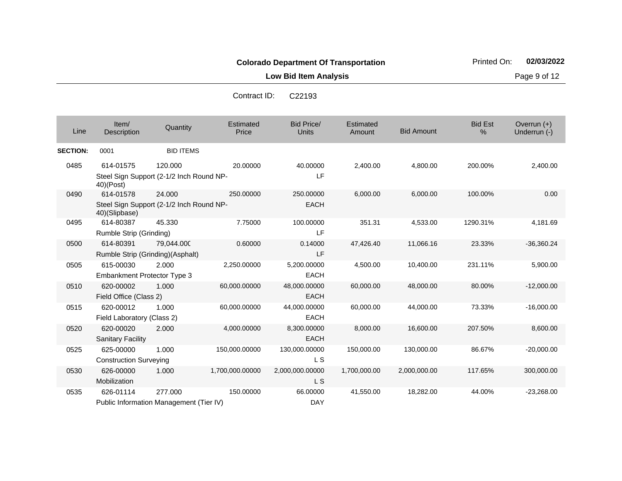**Low Bid Item Analysis Page 9 of 12** 

| Contract ID: | C <sub>22193</sub> |
|--------------|--------------------|
|              |                    |

| Line            | Item/<br>Description                            | Quantity                                            | Estimated<br>Price | <b>Bid Price/</b><br>Units   | Estimated<br>Amount | <b>Bid Amount</b> | <b>Bid Est</b><br>$\frac{0}{0}$ | Overrun $(+)$<br>Underrun (-) |
|-----------------|-------------------------------------------------|-----------------------------------------------------|--------------------|------------------------------|---------------------|-------------------|---------------------------------|-------------------------------|
| <b>SECTION:</b> | 0001                                            | <b>BID ITEMS</b>                                    |                    |                              |                     |                   |                                 |                               |
| 0485            | 614-01575<br>40)(Post)                          | 120.000<br>Steel Sign Support (2-1/2 Inch Round NP- | 20.00000           | 40.00000<br>LF               | 2,400.00            | 4,800.00          | 200.00%                         | 2,400.00                      |
| 0490            | 614-01578<br>40)(Slipbase)                      | 24.000<br>Steel Sign Support (2-1/2 Inch Round NP-  | 250.00000          | 250.00000<br><b>EACH</b>     | 6,000.00            | 6,000.00          | 100.00%                         | 0.00                          |
| 0495            | 614-80387<br>Rumble Strip (Grinding)            | 45.330                                              | 7.75000            | 100.00000<br>LF              | 351.31              | 4,533.00          | 1290.31%                        | 4,181.69                      |
| 0500            | 614-80391<br>Rumble Strip (Grinding)(Asphalt)   | 79,044.000                                          | 0.60000            | 0.14000<br>LF                | 47,426.40           | 11,066.16         | 23.33%                          | $-36,360.24$                  |
| 0505            | 615-00030<br><b>Embankment Protector Type 3</b> | 2.000                                               | 2,250.00000        | 5,200.00000<br><b>EACH</b>   | 4,500.00            | 10,400.00         | 231.11%                         | 5,900.00                      |
| 0510            | 620-00002<br>Field Office (Class 2)             | 1.000                                               | 60,000.00000       | 48,000.00000<br><b>EACH</b>  | 60,000.00           | 48,000.00         | 80.00%                          | $-12,000.00$                  |
| 0515            | 620-00012<br>Field Laboratory (Class 2)         | 1.000                                               | 60,000.00000       | 44,000.00000<br><b>EACH</b>  | 60,000.00           | 44,000.00         | 73.33%                          | $-16,000.00$                  |
| 0520            | 620-00020<br><b>Sanitary Facility</b>           | 2.000                                               | 4.000.00000        | 8,300.00000<br><b>EACH</b>   | 8,000.00            | 16.600.00         | 207.50%                         | 8,600.00                      |
| 0525            | 625-00000<br><b>Construction Surveying</b>      | 1.000                                               | 150,000.00000      | 130,000.00000<br>L S         | 150,000.00          | 130,000.00        | 86.67%                          | $-20,000.00$                  |
| 0530            | 626-00000<br>Mobilization                       | 1.000                                               | 1,700,000.00000    | 2,000,000.00000<br><b>LS</b> | 1,700,000.00        | 2,000,000.00      | 117.65%                         | 300,000.00                    |
| 0535            | 626-01114                                       | 277.000<br>Public Information Management (Tier IV)  | 150.00000          | 66.00000<br><b>DAY</b>       | 41,550.00           | 18,282.00         | 44.00%                          | $-23,268.00$                  |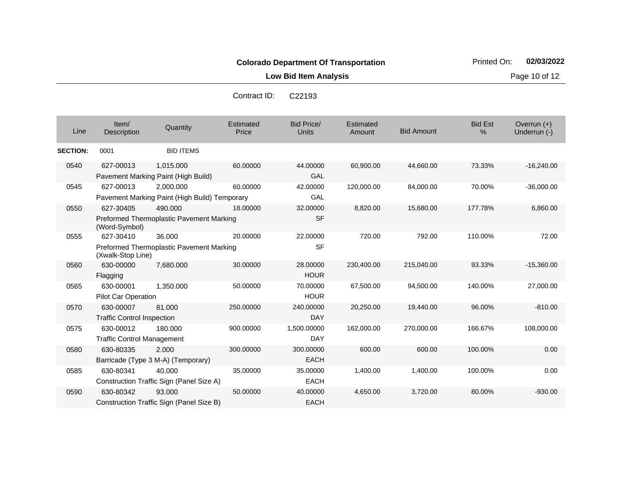**Low Bid Item Analysis Page 10 of 12** 

Con

| Line            | Item/<br>Description                           | Quantity                                                   | Estimated<br>Price | <b>Bid Price/</b><br><b>Units</b> | Estimated<br>Amount | <b>Bid Amount</b> | <b>Bid Est</b><br>% | Overrun $(+)$<br>Underrun (-) |
|-----------------|------------------------------------------------|------------------------------------------------------------|--------------------|-----------------------------------|---------------------|-------------------|---------------------|-------------------------------|
| <b>SECTION:</b> | 0001                                           | <b>BID ITEMS</b>                                           |                    |                                   |                     |                   |                     |                               |
| 0540            | 627-00013                                      | 1,015.000<br>Pavement Marking Paint (High Build)           | 60.00000           | 44.00000<br><b>GAL</b>            | 60,900.00           | 44,660.00         | 73.33%              | $-16,240.00$                  |
| 0545            | 627-00013                                      | 2,000.000<br>Pavement Marking Paint (High Build) Temporary | 60.00000           | 42.00000<br>GAL                   | 120,000.00          | 84,000.00         | 70.00%              | $-36,000.00$                  |
| 0550            | 627-30405<br>(Word-Symbol)                     | 490.000<br>Preformed Thermoplastic Pavement Marking        | 18,00000           | 32.00000<br><b>SF</b>             | 8,820.00            | 15,680.00         | 177.78%             | 6,860.00                      |
| 0555            | 627-30410<br>(Xwalk-Stop Line)                 | 36.000<br>Preformed Thermoplastic Pavement Marking         | 20.00000           | 22.00000<br><b>SF</b>             | 720.00              | 792.00            | 110.00%             | 72.00                         |
| 0560            | 630-00000<br>Flagging                          | 7,680.000                                                  | 30.00000           | 28.00000<br><b>HOUR</b>           | 230,400.00          | 215,040.00        | 93.33%              | $-15,360.00$                  |
| 0565            | 630-00001<br><b>Pilot Car Operation</b>        | 1,350.000                                                  | 50.00000           | 70.00000<br><b>HOUR</b>           | 67,500.00           | 94,500.00         | 140.00%             | 27,000.00                     |
| 0570            | 630-00007<br><b>Traffic Control Inspection</b> | 81.000                                                     | 250.00000          | 240.00000<br><b>DAY</b>           | 20,250.00           | 19,440.00         | 96.00%              | $-810.00$                     |
| 0575            | 630-00012<br><b>Traffic Control Management</b> | 180.000                                                    | 900.00000          | 1,500.00000<br><b>DAY</b>         | 162,000.00          | 270,000.00        | 166.67%             | 108,000.00                    |
| 0580            | 630-80335                                      | 2.000<br>Barricade (Type 3 M-A) (Temporary)                | 300.00000          | 300.00000<br><b>EACH</b>          | 600.00              | 600.00            | 100.00%             | 0.00                          |
| 0585            | 630-80341                                      | 40.000<br>Construction Traffic Sign (Panel Size A)         | 35.00000           | 35.00000<br><b>EACH</b>           | 1,400.00            | 1,400.00          | 100.00%             | 0.00                          |
| 0590            | 630-80342                                      | 93.000<br>Construction Traffic Sign (Panel Size B)         | 50.00000           | 40.00000<br><b>EACH</b>           | 4,650.00            | 3,720.00          | 80.00%              | $-930.00$                     |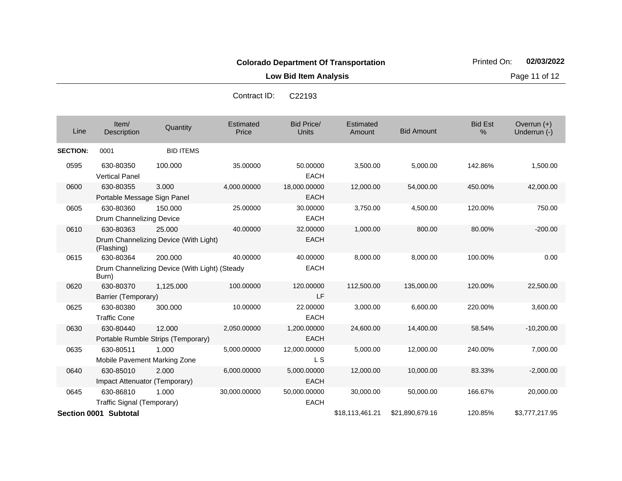**Low Bid Item Analysis Page 11 of 12** 

|                 |                                            |                                                          | Contract ID:       | <b>UZZ193</b>               |                     |                   |                     |                               |
|-----------------|--------------------------------------------|----------------------------------------------------------|--------------------|-----------------------------|---------------------|-------------------|---------------------|-------------------------------|
| Line            | Item/<br>Description                       | Quantity                                                 | Estimated<br>Price | Bid Price/<br><b>Units</b>  | Estimated<br>Amount | <b>Bid Amount</b> | <b>Bid Est</b><br>% | Overrun $(+)$<br>Underrun (-) |
| <b>SECTION:</b> | 0001                                       | <b>BID ITEMS</b>                                         |                    |                             |                     |                   |                     |                               |
| 0595            | 630-80350<br><b>Vertical Panel</b>         | 100.000                                                  | 35.00000           | 50.00000<br><b>EACH</b>     | 3,500.00            | 5,000.00          | 142.86%             | 1,500.00                      |
| 0600            | 630-80355<br>Portable Message Sign Panel   | 3.000                                                    | 4,000.00000        | 18,000.00000<br><b>EACH</b> | 12,000.00           | 54,000.00         | 450.00%             | 42,000.00                     |
| 0605            | 630-80360<br>Drum Channelizing Device      | 150.000                                                  | 25.00000           | 30.00000<br><b>EACH</b>     | 3,750.00            | 4,500.00          | 120.00%             | 750.00                        |
| 0610            | 630-80363<br>(Flashing)                    | 25,000<br>Drum Channelizing Device (With Light)          | 40.00000           | 32.00000<br><b>EACH</b>     | 1,000.00            | 800.00            | 80.00%              | $-200.00$                     |
| 0615            | 630-80364<br>Burn)                         | 200.000<br>Drum Channelizing Device (With Light) (Steady | 40.00000           | 40.00000<br><b>EACH</b>     | 8,000.00            | 8,000.00          | 100.00%             | 0.00                          |
| 0620            | 630-80370<br>Barrier (Temporary)           | 1,125.000                                                | 100.00000          | 120.00000<br>LF.            | 112,500.00          | 135,000.00        | 120.00%             | 22,500.00                     |
| 0625            | 630-80380<br><b>Traffic Cone</b>           | 300.000                                                  | 10.00000           | 22.00000<br><b>EACH</b>     | 3,000.00            | 6,600.00          | 220.00%             | 3,600.00                      |
| 0630            | 630-80440                                  | 12.000<br>Portable Rumble Strips (Temporary)             | 2,050.00000        | 1,200.00000<br><b>EACH</b>  | 24,600.00           | 14,400.00         | 58.54%              | $-10,200.00$                  |
| 0635            | 630-80511<br>Mobile Pavement Marking Zone  | 1.000                                                    | 5,000.00000        | 12,000.00000<br>L S         | 5,000.00            | 12,000.00         | 240.00%             | 7,000.00                      |
| 0640            | 630-85010<br>Impact Attenuator (Temporary) | 2.000                                                    | 6,000.00000        | 5,000.00000<br><b>EACH</b>  | 12,000.00           | 10,000.00         | 83.33%              | $-2,000.00$                   |
| 0645            | 630-86810<br>Traffic Signal (Temporary)    | 1.000                                                    | 30,000.00000       | 50,000.00000<br><b>EACH</b> | 30,000.00           | 50,000.00         | 166.67%             | 20,000.00                     |
|                 | Section 0001 Subtotal                      |                                                          |                    |                             | \$18,113,461.21     | \$21,890,679.16   | 120.85%             | \$3,777,217.95                |